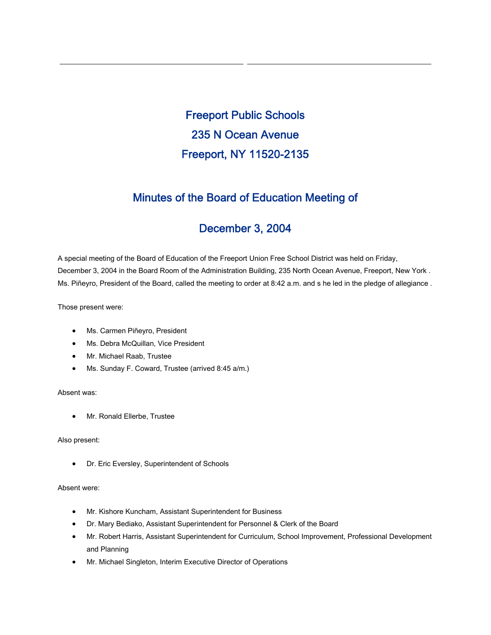Freeport Public Schools 235 N Ocean Avenue Freeport, NY 11520-2135

## Minutes of the Board of Education Meeting of

# December 3, 2004

A special meeting of the Board of Education of the Freeport Union Free School District was held on Friday, December 3, 2004 in the Board Room of the Administration Building, 235 North Ocean Avenue, Freeport, New York . Ms. Piñeyro, President of the Board, called the meeting to order at 8:42 a.m. and s he led in the pledge of allegiance .

Those present were:

- Ms. Carmen Piñeyro, President
- Ms. Debra McQuillan, Vice President
- Mr. Michael Raab, Trustee
- Ms. Sunday F. Coward, Trustee (arrived 8:45 a/m.)

### Absent was:

• Mr. Ronald Ellerbe, Trustee

#### Also present:

• Dr. Eric Eversley, Superintendent of Schools

#### Absent were:

- Mr. Kishore Kuncham, Assistant Superintendent for Business
- Dr. Mary Bediako, Assistant Superintendent for Personnel & Clerk of the Board
- Mr. Robert Harris, Assistant Superintendent for Curriculum, School Improvement, Professional Development and Planning
- Mr. Michael Singleton, Interim Executive Director of Operations